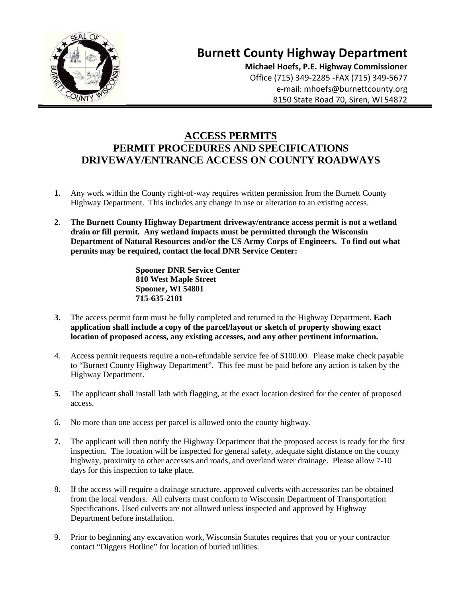

# **Burnett County Highway Department**

 **Michael Hoefs, P.E. Highway Commissioner** Office (715) 349-2285 -FAX (715) 349-5677 e-mail: mhoefs@burnettcounty.org 8150 State Road 70, Siren, WI 54872

## **ACCESS PERMITS PERMIT PROCEDURES AND SPECIFICATIONS DRIVEWAY/ENTRANCE ACCESS ON COUNTY ROADWAYS**

- **1.** Any work within the County right-of-way requires written permission from the Burnett County Highway Department. This includes any change in use or alteration to an existing access.
- **2. The Burnett County Highway Department driveway/entrance access permit is not a wetland drain or fill permit. Any wetland impacts must be permitted through the Wisconsin Department of Natural Resources and/or the US Army Corps of Engineers. To find out what permits may be required, contact the local DNR Service Center:**

**Spooner DNR Service Center 810 West Maple Street Spooner, WI 54801 715-635-2101**

- **3.** The access permit form must be fully completed and returned to the Highway Department. **Each application shall include a copy of the parcel/layout or sketch of property showing exact location of proposed access, any existing accesses, and any other pertinent information.**
- 4. Access permit requests require a non-refundable service fee of \$100.00. Please make check payable to "Burnett County Highway Department". This fee must be paid before any action is taken by the Highway Department.
- **5.** The applicant shall install lath with flagging, at the exact location desired for the center of proposed access.
- 6. No more than one access per parcel is allowed onto the county highway.
- **7.** The applicant will then notify the Highway Department that the proposed access is ready for the first inspection. The location will be inspected for general safety, adequate sight distance on the county highway, proximity to other accesses and roads, and overland water drainage. Please allow 7-10 days for this inspection to take place.
- 8. If the access will require a drainage structure, approved culverts with accessories can be obtained from the local vendors. All culverts must conform to Wisconsin Department of Transportation Specifications. Used culverts are not allowed unless inspected and approved by Highway Department before installation.
- 9. Prior to beginning any excavation work, Wisconsin Statutes requires that you or your contractor contact "Diggers Hotline" for location of buried utilities.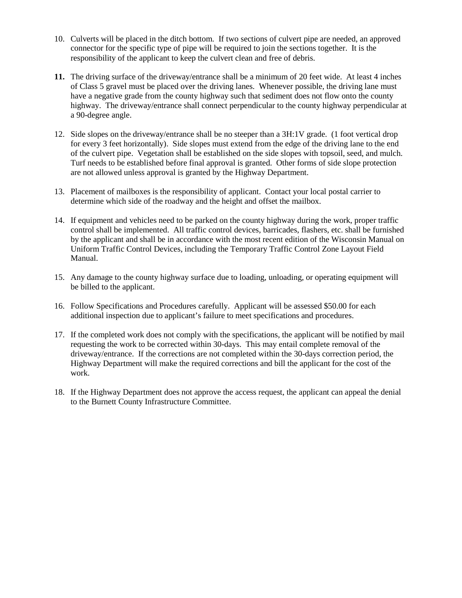- 10. Culverts will be placed in the ditch bottom. If two sections of culvert pipe are needed, an approved connector for the specific type of pipe will be required to join the sections together. It is the responsibility of the applicant to keep the culvert clean and free of debris.
- **11.** The driving surface of the driveway/entrance shall be a minimum of 20 feet wide. At least 4 inches of Class 5 gravel must be placed over the driving lanes. Whenever possible, the driving lane must have a negative grade from the county highway such that sediment does not flow onto the county highway. The driveway/entrance shall connect perpendicular to the county highway perpendicular at a 90-degree angle.
- 12. Side slopes on the driveway/entrance shall be no steeper than a 3H:1V grade. (1 foot vertical drop for every 3 feet horizontally). Side slopes must extend from the edge of the driving lane to the end of the culvert pipe. Vegetation shall be established on the side slopes with topsoil, seed, and mulch. Turf needs to be established before final approval is granted. Other forms of side slope protection are not allowed unless approval is granted by the Highway Department.
- 13. Placement of mailboxes is the responsibility of applicant. Contact your local postal carrier to determine which side of the roadway and the height and offset the mailbox.
- 14. If equipment and vehicles need to be parked on the county highway during the work, proper traffic control shall be implemented. All traffic control devices, barricades, flashers, etc. shall be furnished by the applicant and shall be in accordance with the most recent edition of the Wisconsin Manual on Uniform Traffic Control Devices, including the Temporary Traffic Control Zone Layout Field Manual.
- 15. Any damage to the county highway surface due to loading, unloading, or operating equipment will be billed to the applicant.
- 16. Follow Specifications and Procedures carefully. Applicant will be assessed \$50.00 for each additional inspection due to applicant's failure to meet specifications and procedures.
- 17. If the completed work does not comply with the specifications, the applicant will be notified by mail requesting the work to be corrected within 30-days. This may entail complete removal of the driveway/entrance. If the corrections are not completed within the 30-days correction period, the Highway Department will make the required corrections and bill the applicant for the cost of the work.
- 18. If the Highway Department does not approve the access request, the applicant can appeal the denial to the Burnett County Infrastructure Committee.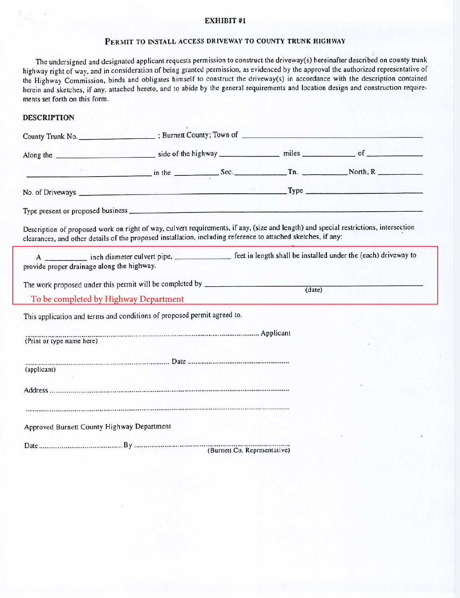#### EXHIBIT #1

### PERMIT TO INSTALL ACCESS DRIVEWAY TO COUNTY TRUNK HIGHWAY

The undersigned and designated applicant requests permission to construct the driveway(s) hereinafter described on county trunk highway right of way, and in consideration of being granted permission, as evidenced by the approval the authorized representative of the Highway Commission, binds and obligates himself to construct the driveway(s) in accordance with the description contained herein and sketches, if any, attached hereto, and to abide by the general requirements and location design and construction requirements set forth on this form.

#### **DESCRIPTION**

|                                                                                                                                                                                                                                                       |  |  |                    | $Sec.$ Th. North, R                                                                                                        |
|-------------------------------------------------------------------------------------------------------------------------------------------------------------------------------------------------------------------------------------------------------|--|--|--------------------|----------------------------------------------------------------------------------------------------------------------------|
|                                                                                                                                                                                                                                                       |  |  |                    |                                                                                                                            |
|                                                                                                                                                                                                                                                       |  |  |                    |                                                                                                                            |
| Description of proposed work on right of way, culvert requirements, if any, (size and length) and special restrictions, intersection<br>clearances, and other details of the proposed installation, including reference to attached sketches, if any: |  |  |                    |                                                                                                                            |
| provide proper drainage along the highway.                                                                                                                                                                                                            |  |  |                    | A ____________ inch diameter culvert pipe, ________________ feet in length shall be installed under the (each) driveway to |
| The work proposed under this permit will be completed by _______________________                                                                                                                                                                      |  |  | $\frac{1}{(date)}$ |                                                                                                                            |
| To be completed by Highway Department                                                                                                                                                                                                                 |  |  |                    |                                                                                                                            |
| This application and terms and conditions of proposed permit agreed to.                                                                                                                                                                               |  |  |                    |                                                                                                                            |
| (Print or type name here)<br>(Print or type name here)                                                                                                                                                                                                |  |  |                    |                                                                                                                            |
| (applicant)                                                                                                                                                                                                                                           |  |  |                    |                                                                                                                            |
|                                                                                                                                                                                                                                                       |  |  |                    |                                                                                                                            |
| Approved Burnett County Highway Department                                                                                                                                                                                                            |  |  |                    |                                                                                                                            |
|                                                                                                                                                                                                                                                       |  |  |                    |                                                                                                                            |